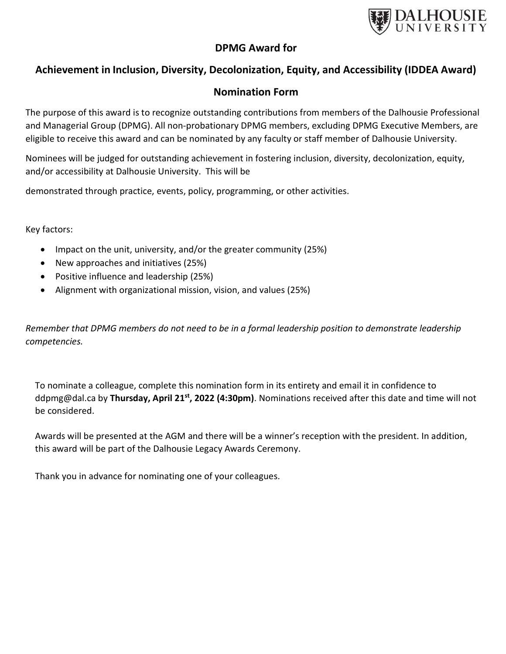

# DPMG Award for

# Achievement in Inclusion, Diversity, Decolonization, Equity, and Accessibility (IDDEA Award)

# Nomination Form

The purpose of this award is to recognize outstanding contributions from members of the Dalhousie Professional and Managerial Group (DPMG). All non-probationary DPMG members, excluding DPMG Executive Members, are eligible to receive this award and can be nominated by any faculty or staff member of Dalhousie University.

Nominees will be judged for outstanding achievement in fostering inclusion, diversity, decolonization, equity, and/or accessibility at Dalhousie University. This will be

demonstrated through practice, events, policy, programming, or other activities.

Key factors:

- Impact on the unit, university, and/or the greater community (25%)
- New approaches and initiatives (25%)
- Positive influence and leadership (25%)
- Alignment with organizational mission, vision, and values (25%)

Remember that DPMG members do not need to be in a formal leadership position to demonstrate leadership competencies.

To nominate a colleague, complete this nomination form in its entirety and email it in confidence to ddpmg@dal.ca by Thursday, April 21<sup>st</sup>, 2022 (4:30pm). Nominations received after this date and time will not be considered.

Awards will be presented at the AGM and there will be a winner's reception with the president. In addition, this award will be part of the Dalhousie Legacy Awards Ceremony.

Thank you in advance for nominating one of your colleagues.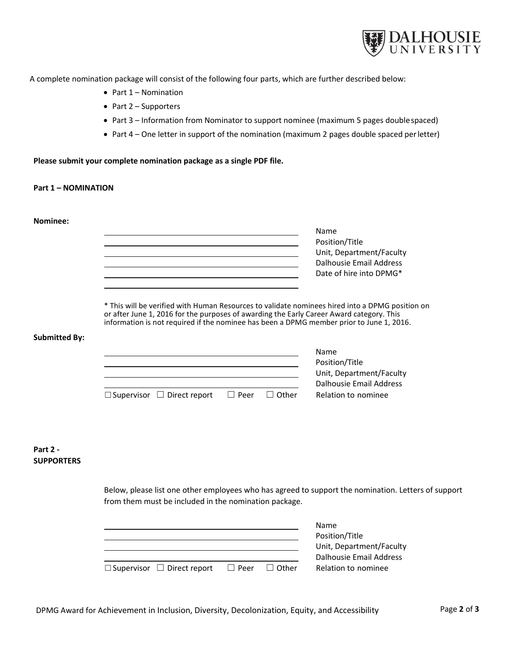

A complete nomination package will consist of the following four parts, which are further described below:

- $\bullet$  Part 1 Nomination
- $\bullet$  Part 2 Supporters
- Part 3 Information from Nominator to support nominee (maximum 5 pages double spaced)
- Part 4 One letter in support of the nomination (maximum 2 pages double spaced per letter)

Please submit your complete nomination package as a single PDF file.

#### Part 1 – NOMINATION

Nominee:

Name Position/Title Unit, Department/Faculty Dalhousie Email Address <u> 1989 - Johann Barn, mars ann an t-Amhain Aonaich an t-Aonaich an t-Aonaich an t-Aonaich an t-Aonaich ann an t-</u> Date of hire into DPMG\*

\* This will be verified with Human Resources to validate nominees hired into a DPMG position on or after June 1, 2016 for the purposes of awarding the Early Career Award category. This information is not required if the nominee has been a DPMG member prior to June 1, 2016.

#### Submitted By:

|                                        |             |              | Name                     |  |
|----------------------------------------|-------------|--------------|--------------------------|--|
|                                        |             |              | Position/Title           |  |
|                                        |             |              | Unit, Department/Faculty |  |
|                                        |             |              | Dalhousie Email Address  |  |
| $\Box$ Supervisor $\Box$ Direct report | $\Box$ Peer | $\Box$ Other | Relation to nominee      |  |

### Part 2 - **SUPPORTERS**

Below, please list one other employees who has agreed to support the nomination. Letters of support from them must be included in the nomination package.

|                                        |             |              | <b>Name</b>              |  |
|----------------------------------------|-------------|--------------|--------------------------|--|
|                                        |             |              | Position/Title           |  |
|                                        |             |              | Unit, Department/Faculty |  |
|                                        |             |              | Dalhousie Email Address  |  |
| $\Box$ Supervisor $\Box$ Direct report | $\Box$ Peer | $\Box$ Other | Relation to nominee      |  |